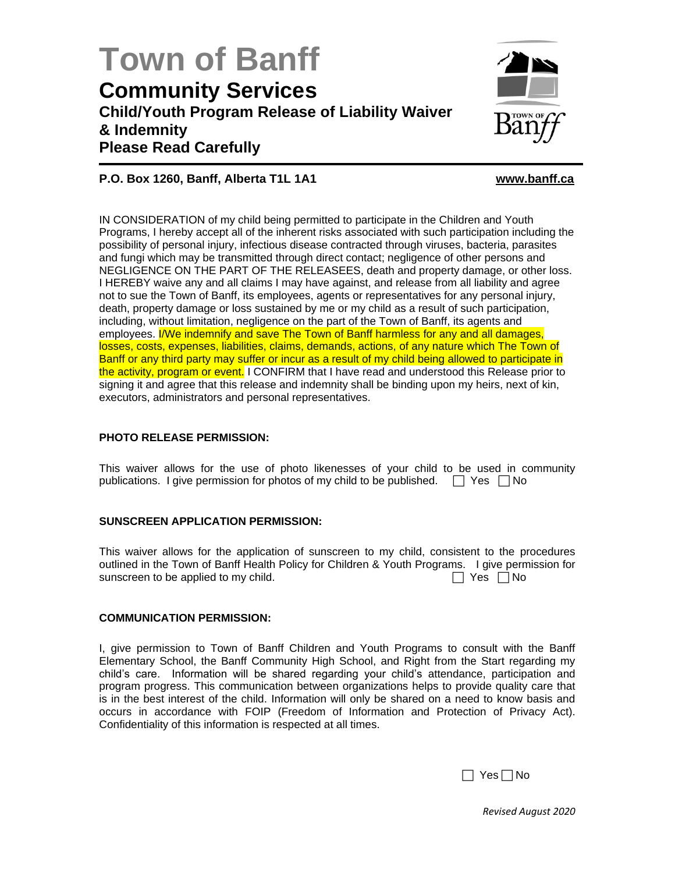# **Town of Banff Community Services Child/Youth Program Release of Liability Waiver & Indemnity Please Read Carefully**



# **P.O. Box 1260, Banff, Alberta T1L 1A1 [www.banff.ca](http://www.banff.ca/)**

IN CONSIDERATION of my child being permitted to participate in the Children and Youth Programs, I hereby accept all of the inherent risks associated with such participation including the possibility of personal injury, infectious disease contracted through viruses, bacteria, parasites and fungi which may be transmitted through direct contact; negligence of other persons and NEGLIGENCE ON THE PART OF THE RELEASEES, death and property damage, or other loss. I HEREBY waive any and all claims I may have against, and release from all liability and agree not to sue the Town of Banff, its employees, agents or representatives for any personal injury, death, property damage or loss sustained by me or my child as a result of such participation, including, without limitation, negligence on the part of the Town of Banff, its agents and employees. **I/We indemnify and save The Town of Banff harmless for any and all damages,** losses, costs, expenses, liabilities, claims, demands, actions, of any nature which The Town of Banff or any third party may suffer or incur as a result of my child being allowed to participate in the activity, program or event. I CONFIRM that I have read and understood this Release prior to signing it and agree that this release and indemnity shall be binding upon my heirs, next of kin, executors, administrators and personal representatives.

# **PHOTO RELEASE PERMISSION:**

This waiver allows for the use of photo likenesses of your child to be used in community publications. I give permission for photos of my child to be published.  $\Box$  Yes  $\Box$  No

# **SUNSCREEN APPLICATION PERMISSION:**

This waiver allows for the application of sunscreen to my child, consistent to the procedures outlined in the Town of Banff Health Policy for Children & Youth Programs. I give permission for sunscreen to be applied to my child.  $\Box$  Yes  $\Box$  Yes  $\Box$  No

#### **COMMUNICATION PERMISSION:**

I, give permission to Town of Banff Children and Youth Programs to consult with the Banff Elementary School, the Banff Community High School, and Right from the Start regarding my child's care. Information will be shared regarding your child's attendance, participation and program progress. This communication between organizations helps to provide quality care that is in the best interest of the child. Information will only be shared on a need to know basis and occurs in accordance with FOIP (Freedom of Information and Protection of Privacy Act). Confidentiality of this information is respected at all times.

 $\Box$  Yes  $\Box$  No

*Revised August 2020*